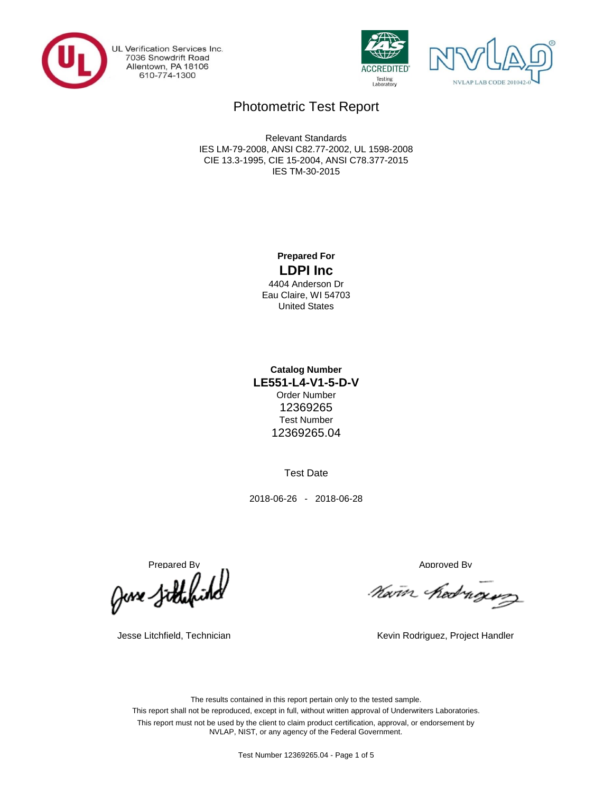

UL Verification Services Inc.<br>7036 Snowdrift Road Allentown, PA 18106 610-774-1300





# Photometric Test Report

IES TM-30-2015 CIE 13.3-1995, CIE 15-2004, ANSI C78.377-2015 IES LM-79-2008, ANSI C82.77-2002, UL 1598-2008 Relevant Standards

### **LDPI Inc Prepared For**

United States Eau Claire, WI 54703 4404 Anderson Dr

Test Number **Catalog Number LE551-L4-V1-5-D-V** 12369265 Order Number 12369265.04

Test Date

2018-06-26 - 2018-06-28

Prepared By<br>Approved By Approved By Approved By Approved By

Navin hedrogus

Jesse Litchfield, Technician **Kevin Rodriguez, Project Handler** Kevin Rodriguez, Project Handler

This report shall not be reproduced, except in full, without written approval of Underwriters Laboratories. This report must not be used by the client to claim product certification, approval, or endorsement by NVLAP, NIST, or any agency of the Federal Government. The results contained in this report pertain only to the tested sample.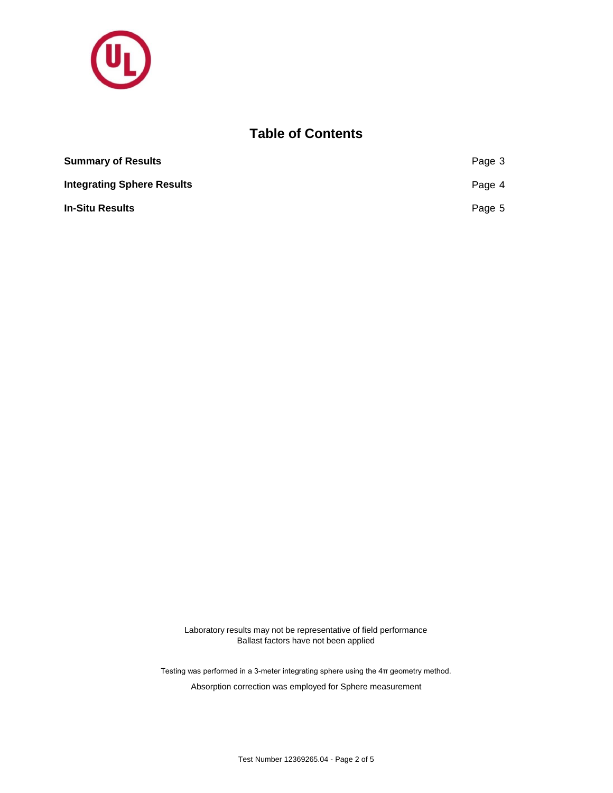

## **Table of Contents**

| <b>Summary of Results</b>         | Page 3 |
|-----------------------------------|--------|
| <b>Integrating Sphere Results</b> | Page 4 |
| <b>In-Situ Results</b>            | Page 5 |

Laboratory results may not be representative of field performance Ballast factors have not been applied

Testing was performed in a 3-meter integrating sphere using the 4π geometry method.

Absorption correction was employed for Sphere measurement

Test Number 12369265.04 - Page 2 of 5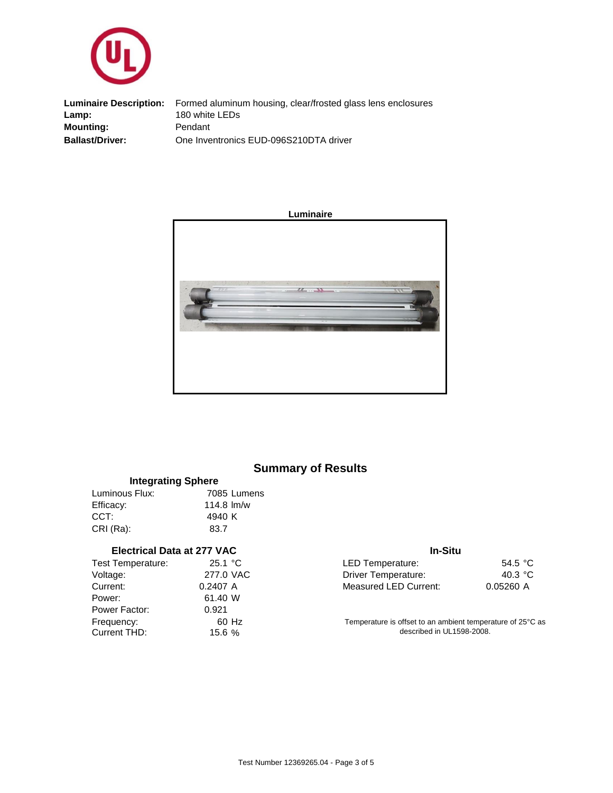

One Inventronics EUD-096S210DTA driver 180 white LEDs **Ballast/Driver: Lamp:** Pendant **Luminaire Description:** Formed aluminum housing, clear/frosted glass lens enclosures **Mounting:**



## **Summary of Results**

| <b>Integrating Sphere</b> |              |             |  |  |  |  |
|---------------------------|--------------|-------------|--|--|--|--|
| Luminous Flux:            |              | 7085 Lumens |  |  |  |  |
| Efficacy:                 | $114.8$ lm/w |             |  |  |  |  |
| CCT:                      | 4940 K       |             |  |  |  |  |
| CRI (Ra):                 | 83.7         |             |  |  |  |  |

#### **Electrical Data at 277 VAC**

| Test Temperature: | 25.1 °C   |
|-------------------|-----------|
| Voltage:          | 277.0 VAC |
| Current:          | 0.2407 A  |
| Power:            | 61.40 W   |
| Power Factor:     | 0.921     |
| Frequency:        | 60 Hz     |
| Current THD:      | 15.6%     |

#### **In-Situ**

| 25.1 °C. | LED Temperature:      | 54.5 $\degree$ C |
|----------|-----------------------|------------------|
| 77.0 VAC | Driver Temperature:   | 40.3 °C          |
| 2407 A   | Measured LED Current: | 0.05260 A        |

Temperature is offset to an ambient temperature of 25°C as described in UL1598-2008.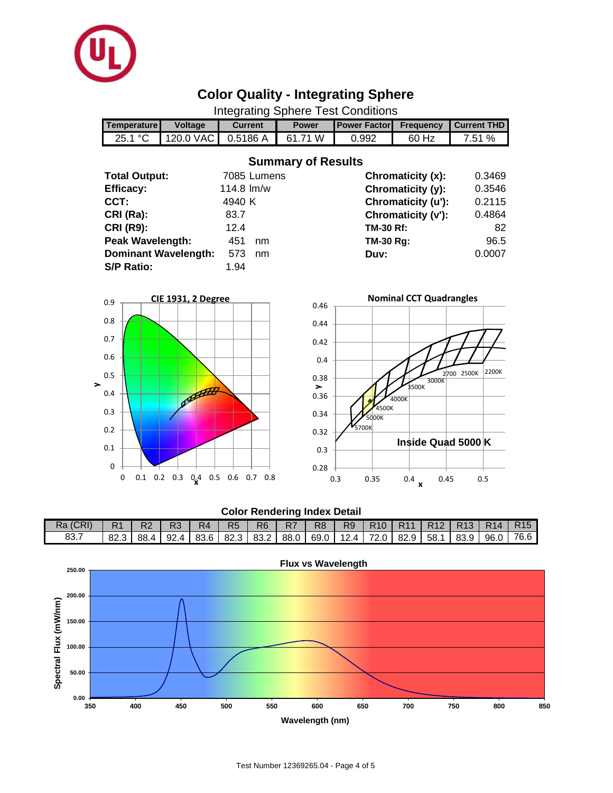

# **Color Quality - Integrating Sphere**

Integrating Sphere Test Conditions

|                      | Temperature          | Voltage                     | <b>Current</b>    | <b>Power</b>              | <b>Power Factor</b> | <b>Frequency</b>               | <b>Current THD</b> |
|----------------------|----------------------|-----------------------------|-------------------|---------------------------|---------------------|--------------------------------|--------------------|
|                      | 25.1 °C              | 120.0 VAC                   | 0.5186 A          | 61.71 W                   | 0.992               | 60 Hz                          | 7.51 %             |
|                      |                      |                             |                   | <b>Summary of Results</b> |                     |                                |                    |
|                      | <b>Total Output:</b> |                             | 7085 Lumens       |                           |                     | Chromaticity (x):              | 0.3469             |
|                      | <b>Efficacy:</b>     |                             | 114.8 lm/w        |                           |                     | Chromaticity (y):              | 0.3546             |
|                      | CCT:                 |                             | 4940 K            |                           |                     | Chromaticity (u'):             | 0.2115             |
|                      | CRI (Ra):            |                             | 83.7              |                           |                     | Chromaticity (v'):             | 0.4864             |
|                      | <b>CRI (R9):</b>     |                             | 12.4              |                           | <b>TM-30 Rf:</b>    |                                | 82                 |
|                      | Peak Wavelength:     |                             | 451<br>nm         |                           | TM-30 Rg:           |                                | 96.5               |
|                      |                      | <b>Dominant Wavelength:</b> | 573<br>nm         |                           | Duv:                |                                | 0.0007             |
|                      | <b>S/P Ratio:</b>    |                             | 1.94              |                           |                     |                                |                    |
|                      |                      |                             |                   |                           |                     |                                |                    |
| 0.9                  |                      | CIE 1931, 2 Degree          |                   |                           |                     | <b>Nominal CCT Quadrangles</b> |                    |
|                      |                      |                             |                   | 0.46                      |                     |                                |                    |
| 0.8                  |                      |                             |                   | 0.44                      |                     |                                |                    |
| 0.7                  |                      |                             |                   | 0.42                      |                     |                                |                    |
| 0.6                  |                      |                             |                   |                           |                     |                                |                    |
|                      |                      |                             |                   | 0.4                       |                     |                                | 2200K              |
| 0.5<br>$\rightarrow$ |                      |                             |                   | 0.38                      |                     | 3000K                          | 2700 2500K         |
| 0.4                  |                      | assets                      |                   | $\rightarrow$<br>0.36     |                     | 3500K<br>4000K                 |                    |
| 0.3                  |                      |                             |                   |                           | 4500K               |                                |                    |
|                      |                      |                             |                   | 0.34                      | 5000K               |                                |                    |
| 0.2                  |                      |                             |                   | 0.32                      | 5700K               |                                |                    |
| 0.1                  |                      |                             |                   | 0.3                       |                     | Inside Quad 5000 K             |                    |
| $\mathbf 0$          |                      |                             |                   |                           |                     |                                |                    |
|                      | 0<br>$0.1$ 0.2 0.3   | $0.4$ 0.5                   | 0.6<br>0.7<br>0.8 | 0.28                      | 0.35<br>0.3         | 0.4<br>0.45                    | 0.5                |

#### **Color Rendering Index Detail**

0.3 0.35 0.4 0.45 0.5 **x**

| Ra (CRI) |                                                                                                                       | <b>R2</b> | R <sub>3</sub> | R4 | R <sub>5</sub> | R <sub>6</sub> | - R7 | R <sub>8</sub> | R <sub>9</sub> | R101 | R <sub>11</sub> | R12   R13   R14   R15 |  |
|----------|-----------------------------------------------------------------------------------------------------------------------|-----------|----------------|----|----------------|----------------|------|----------------|----------------|------|-----------------|-----------------------|--|
| 83.7     | ່ 82.3   88.4   92.4   83.6   82.3   83.2   88.0   69.0   12.4   72.0   82.9   58.1   83.9   96.0   76.6 <sub> </sub> |           |                |    |                |                |      |                |                |      |                 |                       |  |